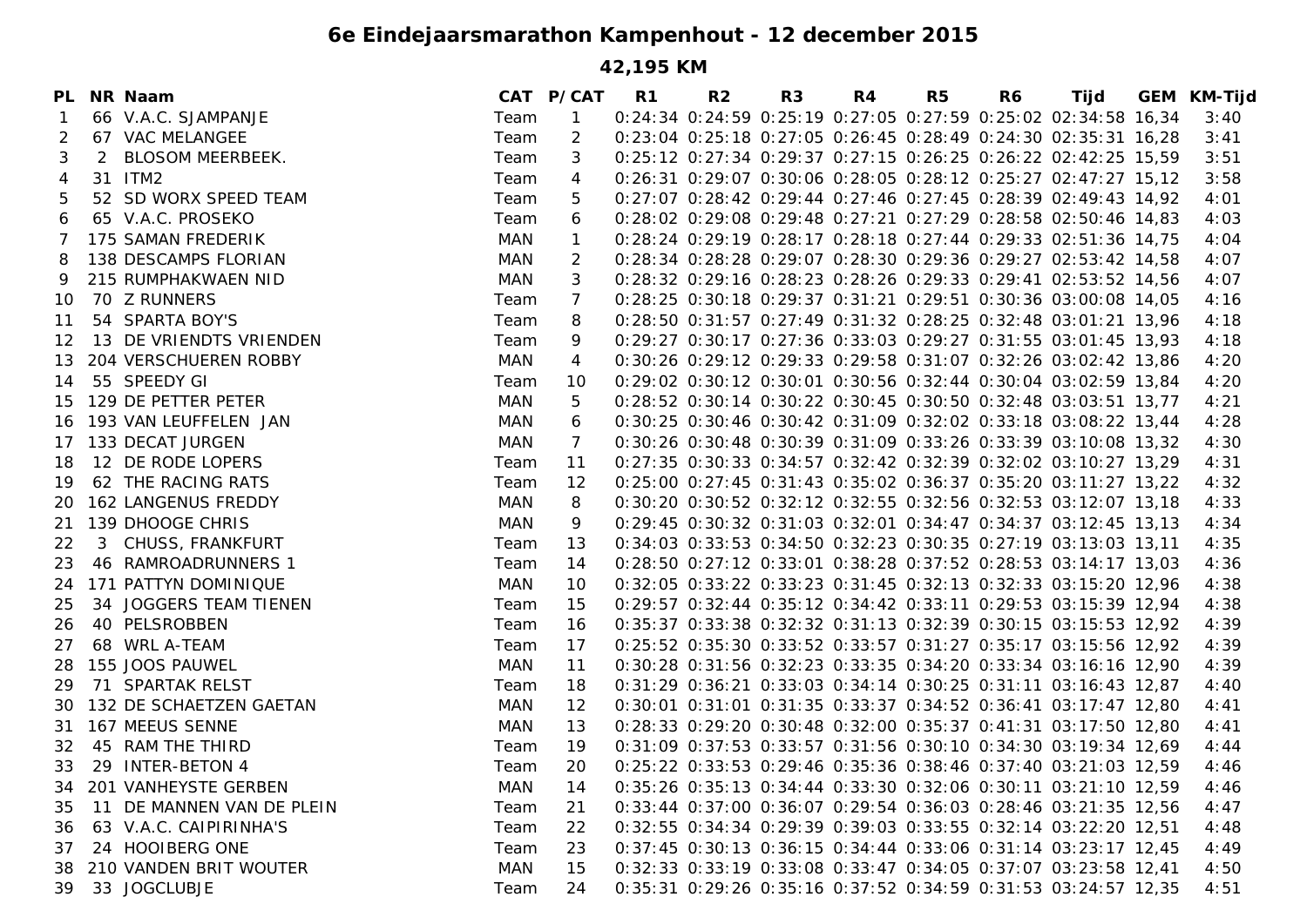## **6e Eindejaarsmarathon Kampenhout - 12 december 2015**

**42,195 KM**

| PL. |   | NR Naam                    |            | CAT P/CAT      | R1 | R <sub>2</sub> | R <sub>3</sub> | R4 | R <sub>5</sub> | R <sub>6</sub> | Tijd                                                           | <b>GEM KM-Tijd</b> |
|-----|---|----------------------------|------------|----------------|----|----------------|----------------|----|----------------|----------------|----------------------------------------------------------------|--------------------|
|     |   | 66 V.A.C. SJAMPANJE        | Team       | $\mathbf{1}$   |    |                |                |    |                |                | 0:24:34 0:24:59 0:25:19 0:27:05 0:27:59 0:25:02 02:34:58 16,34 | 3:40               |
| 2   |   | 67 VAC MELANGEE            | Team       | $\overline{2}$ |    |                |                |    |                |                | 0:23:04 0:25:18 0:27:05 0:26:45 0:28:49 0:24:30 02:35:31 16,28 | 3:41               |
| 3   | 2 | <b>BLOSOM MEERBEEK.</b>    | Team       | 3              |    |                |                |    |                |                | 0:25:12 0:27:34 0:29:37 0:27:15 0:26:25 0:26:22 02:42:25 15,59 | 3:51               |
| 4   |   | 31 ITM2                    | Team       | 4              |    |                |                |    |                |                | 0:26:31 0:29:07 0:30:06 0:28:05 0:28:12 0:25:27 02:47:27 15,12 | 3:58               |
| 5   |   | 52 SD WORX SPEED TEAM      | Team       | 5              |    |                |                |    |                |                | 0:27:07 0:28:42 0:29:44 0:27:46 0:27:45 0:28:39 02:49:43 14,92 | 4:01               |
| 6   |   | 65 V.A.C. PROSEKO          | Team       | 6              |    |                |                |    |                |                | 0:28:02 0:29:08 0:29:48 0:27:21 0:27:29 0:28:58 02:50:46 14,83 | 4:03               |
| 7   |   | 175 SAMAN FREDERIK         | MAN        | $\mathbf{1}$   |    |                |                |    |                |                | 0:28:24 0:29:19 0:28:17 0:28:18 0:27:44 0:29:33 02:51:36 14,75 | 4:04               |
| 8   |   | 138 DESCAMPS FLORIAN       | MAN        | 2              |    |                |                |    |                |                | 0:28:34 0:28:28 0:29:07 0:28:30 0:29:36 0:29:27 02:53:42 14,58 | 4:07               |
| 9   |   | 215 RUMPHAKWAEN NID        | MAN        | 3              |    |                |                |    |                |                | 0:28:32 0:29:16 0:28:23 0:28:26 0:29:33 0:29:41 02:53:52 14,56 | 4:07               |
| 10  |   | 70 Z RUNNERS               | Team       | 7              |    |                |                |    |                |                | 0:28:25 0:30:18 0:29:37 0:31:21 0:29:51 0:30:36 03:00:08 14,05 | 4:16               |
| 11  |   | 54 SPARTA BOY'S            | Team       | 8              |    |                |                |    |                |                | 0:28:50 0:31:57 0:27:49 0:31:32 0:28:25 0:32:48 03:01:21 13,96 | 4:18               |
| 12  |   | 13 DE VRIENDTS VRIENDEN    | Team       | 9              |    |                |                |    |                |                | 0:29:27 0:30:17 0:27:36 0:33:03 0:29:27 0:31:55 03:01:45 13,93 | 4:18               |
| 13  |   | 204 VERSCHUEREN ROBBY      | MAN        | 4              |    |                |                |    |                |                | 0:30:26 0:29:12 0:29:33 0:29:58 0:31:07 0:32:26 03:02:42 13,86 | 4:20               |
| 14  |   | 55 SPEEDY GI               | Team       | 10             |    |                |                |    |                |                | 0:29:02 0:30:12 0:30:01 0:30:56 0:32:44 0:30:04 03:02:59 13,84 | 4:20               |
| 15  |   | 129 DE PETTER PETER        | MAN        | 5              |    |                |                |    |                |                | 0:28:52 0:30:14 0:30:22 0:30:45 0:30:50 0:32:48 03:03:51 13,77 | 4:21               |
| 16  |   | 193 VAN LEUFFELEN JAN      | MAN        | 6              |    |                |                |    |                |                | 0:30:25 0:30:46 0:30:42 0:31:09 0:32:02 0:33:18 03:08:22 13,44 | 4:28               |
| 17  |   | 133 DECAT JURGEN           | MAN        | 7              |    |                |                |    |                |                | 0:30:26 0:30:48 0:30:39 0:31:09 0:33:26 0:33:39 03:10:08 13,32 | 4:30               |
| 18  |   | 12 DE RODE LOPERS          | Team       | 11             |    |                |                |    |                |                | 0:27:35 0:30:33 0:34:57 0:32:42 0:32:39 0:32:02 03:10:27 13,29 | 4:31               |
| 19  |   | 62 THE RACING RATS         | Team       | 12             |    |                |                |    |                |                | 0:25:00 0:27:45 0:31:43 0:35:02 0:36:37 0:35:20 03:11:27 13,22 | 4:32               |
| 20  |   | <b>162 LANGENUS FREDDY</b> | MAN        | 8              |    |                |                |    |                |                | 0:30:20 0:30:52 0:32:12 0:32:55 0:32:56 0:32:53 03:12:07 13,18 | 4:33               |
| 21  |   | 139 DHOOGE CHRIS           | MAN        | 9              |    |                |                |    |                |                | 0:29:45 0:30:32 0:31:03 0:32:01 0:34:47 0:34:37 03:12:45 13,13 | 4:34               |
| 22  | 3 | CHUSS, FRANKFURT           | Team       | 13             |    |                |                |    |                |                | 0:34:03 0:33:53 0:34:50 0:32:23 0:30:35 0:27:19 03:13:03 13,11 | 4:35               |
| 23  |   | 46 RAMROADRUNNERS 1        | Team       | 14             |    |                |                |    |                |                | 0:28:50 0:27:12 0:33:01 0:38:28 0:37:52 0:28:53 03:14:17 13,03 | 4:36               |
| 24  |   | 171 PATTYN DOMINIQUE       | MAN        | 10             |    |                |                |    |                |                | 0:32:05 0:33:22 0:33:23 0:31:45 0:32:13 0:32:33 03:15:20 12,96 | 4:38               |
| 25  |   | 34 JOGGERS TEAM TIENEN     | Team       | 15             |    |                |                |    |                |                | 0:29:57 0:32:44 0:35:12 0:34:42 0:33:11 0:29:53 03:15:39 12,94 | 4:38               |
| 26  |   | 40 PELSROBBEN              | Team       | 16             |    |                |                |    |                |                | 0:35:37 0:33:38 0:32:32 0:31:13 0:32:39 0:30:15 03:15:53 12,92 | 4:39               |
| 27  |   | 68 WRL A-TEAM              | Team       | 17             |    |                |                |    |                |                | 0:25:52 0:35:30 0:33:52 0:33:57 0:31:27 0:35:17 03:15:56 12,92 | 4:39               |
| 28  |   | 155 JOOS PAUWEL            | MAN        | 11             |    |                |                |    |                |                | 0:30:28 0:31:56 0:32:23 0:33:35 0:34:20 0:33:34 03:16:16 12,90 | 4:39               |
| 29  |   | 71 SPARTAK RELST           | Team       | 18             |    |                |                |    |                |                | 0:31:29 0:36:21 0:33:03 0:34:14 0:30:25 0:31:11 03:16:43 12,87 | 4:40               |
| 30  |   | 132 DE SCHAETZEN GAETAN    | MAN        | 12             |    |                |                |    |                |                | 0:30:01 0:31:01 0:31:35 0:33:37 0:34:52 0:36:41 03:17:47 12,80 | 4:41               |
| 31  |   | 167 MEEUS SENNE            | MAN        | 13             |    |                |                |    |                |                | 0:28:33 0:29:20 0:30:48 0:32:00 0:35:37 0:41:31 03:17:50 12,80 | 4:41               |
| 32  |   | 45 RAM THE THIRD           | Team       | 19             |    |                |                |    |                |                | 0:31:09 0:37:53 0:33:57 0:31:56 0:30:10 0:34:30 03:19:34 12,69 | 4:44               |
| 33  |   | 29 INTER-BETON 4           | Team       | 20             |    |                |                |    |                |                | 0:25:22 0:33:53 0:29:46 0:35:36 0:38:46 0:37:40 03:21:03 12,59 | 4:46               |
| 34  |   | 201 VANHEYSTE GERBEN       | <b>MAN</b> | 14             |    |                |                |    |                |                | 0:35:26 0:35:13 0:34:44 0:33:30 0:32:06 0:30:11 03:21:10 12,59 | 4:46               |
| 35  |   | 11 DE MANNEN VAN DE PLEIN  | Team       | 21             |    |                |                |    |                |                | 0:33:44 0:37:00 0:36:07 0:29:54 0:36:03 0:28:46 03:21:35 12,56 | 4:47               |
| 36  |   | 63 V.A.C. CAIPIRINHA'S     | Team       | 22             |    |                |                |    |                |                | 0:32:55 0:34:34 0:29:39 0:39:03 0:33:55 0:32:14 03:22:20 12.51 | 4:48               |
| 37  |   | 24 HOOIBERG ONE            | Team       | 23             |    |                |                |    |                |                | 0:37:45 0:30:13 0:36:15 0:34:44 0:33:06 0:31:14 03:23:17 12,45 | 4:49               |
| 38  |   | 210 VANDEN BRIT WOUTER     | MAN        | 15             |    |                |                |    |                |                | 0:32:33 0:33:19 0:33:08 0:33:47 0:34:05 0:37:07 03:23:58 12,41 | 4:50               |
| 39  |   | 33 JOGCLUBJE               | Team       | 24             |    |                |                |    |                |                | 0:35:31 0:29:26 0:35:16 0:37:52 0:34:59 0:31:53 03:24:57 12,35 | 4:51               |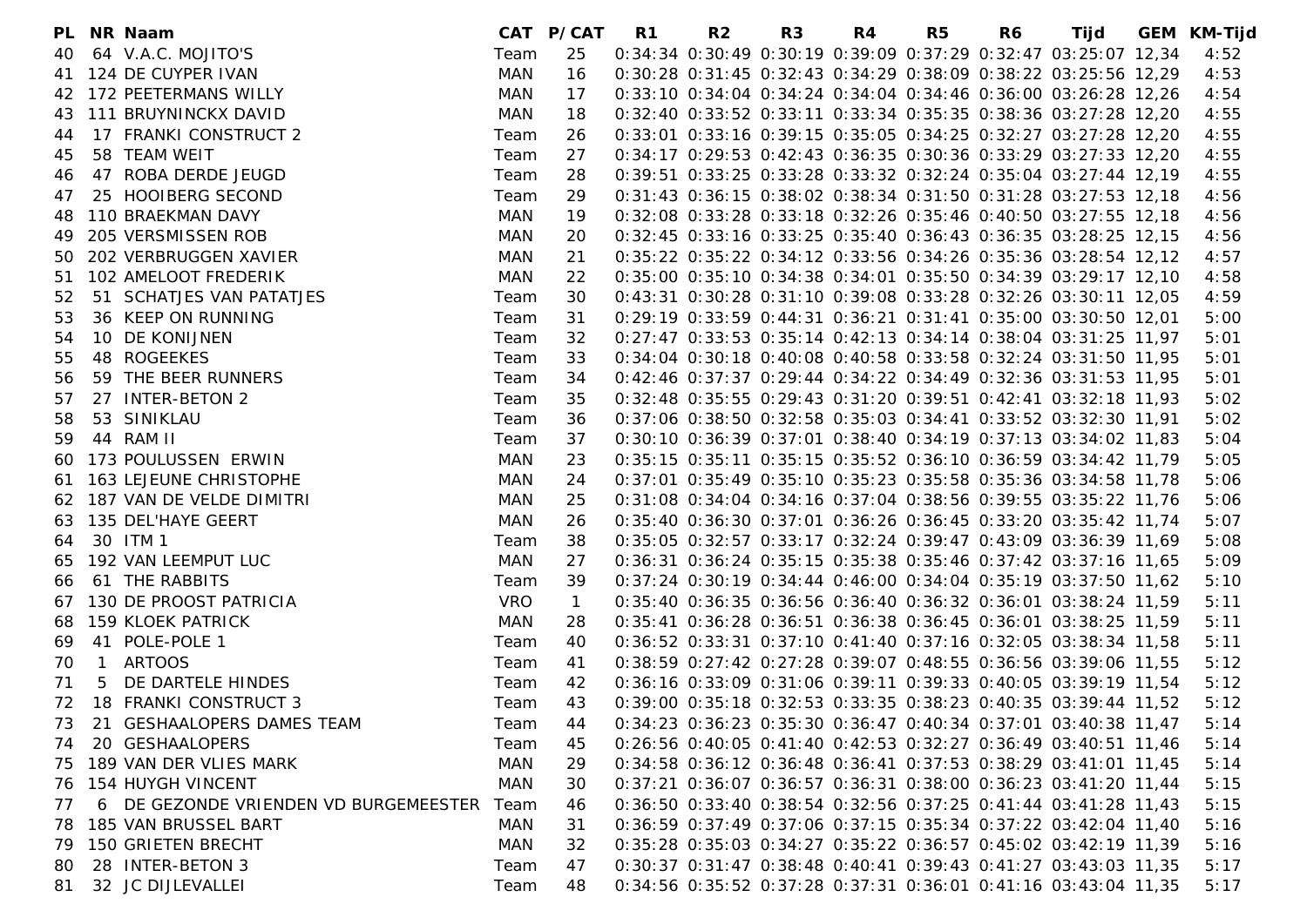|    |              | PL NR Naam                            |            | CAT P/CAT      | R1 | R2 | R <sub>3</sub> | R4 | R <sub>5</sub> | R6 | Tijd                                                                   | GEM KM-Tijd |
|----|--------------|---------------------------------------|------------|----------------|----|----|----------------|----|----------------|----|------------------------------------------------------------------------|-------------|
| 40 |              | 64 V.A.C. MOJITO'S                    | Team       | 25             |    |    |                |    |                |    | 0:34:34 0:30:49 0:30:19 0:39:09 0:37:29 0:32:47 03:25:07 12,34         | 4:52        |
|    |              | 41 124 DE CUYPER IVAN                 | <b>MAN</b> | 16             |    |    |                |    |                |    | 0:30:28 0:31:45 0:32:43 0:34:29 0:38:09 0:38:22 03:25:56 12,29         | 4:53        |
|    |              | 42 172 PEETERMANS WILLY               | MAN        | 17             |    |    |                |    |                |    | 0:33:10 0:34:04 0:34:24 0:34:04 0:34:46 0:36:00 03:26:28 12,26         | 4:54        |
| 43 |              | 111 BRUYNINCKX DAVID                  | MAN        | 18             |    |    |                |    |                |    | 0:32:40 0:33:52 0:33:11 0:33:34 0:35:35 0:38:36 03:27:28 12,20         | 4:55        |
| 44 |              | 17 FRANKI CONSTRUCT 2                 | Team       | 26             |    |    |                |    |                |    | 0:33:01 0:33:16 0:39:15 0:35:05 0:34:25 0:32:27 03:27:28 12,20         | 4:55        |
| 45 |              | 58 TEAM WEIT                          | Team       | 27             |    |    |                |    |                |    | 0:34:17 0:29:53 0:42:43 0:36:35 0:30:36 0:33:29 03:27:33 12,20         | 4:55        |
| 46 |              | 47 ROBA DERDE JEUGD                   | Team       | 28             |    |    |                |    |                |    | 0:39:51 0:33:25 0:33:28 0:33:32 0:32:24 0:35:04 03:27:44 12,19         | 4:55        |
| 47 |              | 25 HOOIBERG SECOND                    | Team       | 29             |    |    |                |    |                |    | 0:31:43 0:36:15 0:38:02 0:38:34 0:31:50 0:31:28 03:27:53 12,18         | 4:56        |
| 48 |              | 110 BRAEKMAN DAVY                     | MAN        | 19             |    |    |                |    |                |    | 0:32:08 0:33:28 0:33:18 0:32:26 0:35:46 0:40:50 03:27:55 12,18         | 4:56        |
| 49 |              | 205 VERSMISSEN ROB                    | MAN        | 20             |    |    |                |    |                |    | 0:32:45 0:33:16 0:33:25 0:35:40 0:36:43 0:36:35 03:28:25 12:15         | 4:56        |
| 50 |              | 202 VERBRUGGEN XAVIER                 | MAN        | 21             |    |    |                |    |                |    | 0:35:22 0:35:22 0:34:12 0:33:56 0:34:26 0:35:36 03:28:54 12,12         | 4:57        |
| 51 |              | 102 AMELOOT FREDERIK                  | MAN        | 22             |    |    |                |    |                |    | 0:35:00 0:35:10 0:34:38 0:34:01 0:35:50 0:34:39 03:29:17 12,10         | 4:58        |
| 52 |              | 51 SCHATJES VAN PATATJES              | Team       | 30             |    |    |                |    |                |    | 0:43:31 0:30:28 0:31:10 0:39:08 0:33:28 0:32:26 03:30:11 12,05         | 4:59        |
| 53 |              | 36 KEEP ON RUNNING                    | Team       | 31             |    |    |                |    |                |    | 0:29:19 0:33:59 0:44:31 0:36:21 0:31:41 0:35:00 03:30:50 12,01         | 5:00        |
| 54 |              | 10 DE KONIJNEN                        | Team       | 32             |    |    |                |    |                |    | 0:27:47 0:33:53 0:35:14 0:42:13 0:34:14 0:38:04 03:31:25 11,97         | 5:01        |
| 55 |              | 48 ROGEEKES                           | Team       | 33             |    |    |                |    |                |    | 0:34:04 0:30:18 0:40:08 0:40:58 0:33:58 0:32:24 03:31:50 11,95         | 5:01        |
| 56 |              | 59 THE BEER RUNNERS                   | Team       | 34             |    |    |                |    |                |    | 0:42:46 0:37:37 0:29:44 0:34:22 0:34:49 0:32:36 03:31:53 11,95         | 5:01        |
| 57 |              | 27 INTER-BETON 2                      | Team       | 35             |    |    |                |    |                |    | 0:32:48 0:35:55 0:29:43 0:31:20 0:39:51 0:42:41 03:32:18 11,93         | 5:02        |
| 58 |              | 53 SINIKLAU                           | Team       | 36             |    |    |                |    |                |    | 0:37:06 0:38:50 0:32:58 0:35:03 0:34:41 0:33:52 03:32:30 11,91         | 5:02        |
| 59 |              | 44 RAM II                             | Team       | 37             |    |    |                |    |                |    | 0:30:10 0:36:39 0:37:01 0:38:40 0:34:19 0:37:13 03:34:02 11,83         | 5:04        |
| 60 |              | 173 POULUSSEN ERWIN                   | <b>MAN</b> | 23             |    |    |                |    |                |    | 0:35:15 0:35:11 0:35:15 0:35:52 0:36:10 0:36:59 03:34:42 11,79         | 5:05        |
| 61 |              | 163 LEJEUNE CHRISTOPHE                | MAN        | 24             |    |    |                |    |                |    | 0:37:01 0:35:49 0:35:10 0:35:23 0:35:58 0:35:36 03:34:58 11,78         | 5:06        |
|    |              | 62 187 VAN DE VELDE DIMITRI           | MAN        | 25             |    |    |                |    |                |    | 0:31:08 0:34:04 0:34:16 0:37:04 0:38:56 0:39:55 03:35:22 11,76         | 5:06        |
|    |              | 63 135 DEL'HAYE GEERT                 | MAN        | 26             |    |    |                |    |                |    | 0:35:40 0:36:30 0:37:01 0:36:26 0:36:45 0:33:20 03:35:42 11,74         | 5:07        |
| 64 |              | 30 ITM 1                              | Team       | 38             |    |    |                |    |                |    | 0:35:05 0:32:57 0:33:17 0:32:24 0:39:47 0:43:09 03:36:39 11,69         | 5:08        |
| 65 |              | 192 VAN LEEMPUT LUC                   | MAN        | 27             |    |    |                |    |                |    | 0:36:31 0:36:24 0:35:15 0:35:38 0:35:46 0:37:42 03:37:16 11,65         | 5:09        |
| 66 |              | 61 THE RABBITS                        | Team       | 39             |    |    |                |    |                |    | 0:37:24 0:30:19 0:34:44 0:46:00 0:34:04 0:35:19 03:37:50 11,62         | 5:10        |
| 67 |              | 130 DE PROOST PATRICIA                | VRO        | $\overline{1}$ |    |    |                |    |                |    | 0:35:40 0:36:35 0:36:56 0:36:40 0:36:32 0:36:01 03:38:24 11,59         | 5:11        |
| 68 |              | 159 KLOEK PATRICK                     | MAN        | 28             |    |    |                |    |                |    | 0:35:41 0:36:28 0:36:51 0:36:38 0:36:45 0:36:01 03:38:25 11,59         | 5:11        |
| 69 | 41           | POLE-POLE 1                           | Team       | 40             |    |    |                |    |                |    | 0:36:52 0:33:31 0:37:10 0:41:40 0:37:16 0:32:05 03:38:34 11.58         | 5:11        |
| 70 | $\mathbf{1}$ | <b>ARTOOS</b>                         | Team       | 41             |    |    |                |    |                |    | 0:38:59 0:27:42 0:27:28 0:39:07 0:48:55 0:36:56 03:39:06 11,55         | 5:12        |
| 71 |              | 5 DE DARTELE HINDES                   | Team       | 42             |    |    |                |    |                |    | 0:36:16 0:33:09 0:31:06 0:39:11 0:39:33 0:40:05 03:39:19 11,54         | 5:12        |
|    |              | 72 18 FRANKI CONSTRUCT 3              | Team       | 43             |    |    |                |    |                |    | 0:39:00 0:35:18 0:32:53 0:33:35 0:38:23 0:40:35 03:39:44 11,52         | 5:12        |
|    |              | 73 21 GESHAALOPERS DAMES TEAM         | Team       |                |    |    |                |    |                |    | 44 0:34:23 0:36:23 0:35:30 0:36:47 0:40:34 0:37:01 03:40:38 11,47 5:14 |             |
| 74 |              | 20 GESHAALOPERS                       | Team       | 45             |    |    |                |    |                |    | 0:26:56 0:40:05 0:41:40 0:42:53 0:32:27 0:36:49 03:40:51 11,46         | 5:14        |
|    |              | 75 189 VAN DER VLIES MARK             | <b>MAN</b> | 29             |    |    |                |    |                |    | 0:34:58 0:36:12 0:36:48 0:36:41 0:37:53 0:38:29 03:41:01 11,45         | 5:14        |
|    |              | 76 154 HUYGH VINCENT                  | MAN        | 30             |    |    |                |    |                |    | 0:37:21 0:36:07 0:36:57 0:36:31 0:38:00 0:36:23 03:41:20 11,44         | 5:15        |
| 77 |              | 6 DE GEZONDE VRIENDEN VD BURGEMEESTER | Team       | 46             |    |    |                |    |                |    | 0:36:50 0:33:40 0:38:54 0:32:56 0:37:25 0:41:44 03:41:28 11,43         | 5:15        |
|    |              | 78 185 VAN BRUSSEL BART               | <b>MAN</b> | 31             |    |    |                |    |                |    | 0:36:59 0:37:49 0:37:06 0:37:15 0:35:34 0:37:22 03:42:04 11,40         | 5:16        |
|    |              | 79 150 GRIETEN BRECHT                 | MAN        | 32             |    |    |                |    |                |    | 0:35:28 0:35:03 0:34:27 0:35:22 0:36:57 0:45:02 03:42:19 11,39         | 5:16        |
| 80 |              | 28 INTER-BETON 3                      | Team       | 47             |    |    |                |    |                |    | 0:30:37 0:31:47 0:38:48 0:40:41 0:39:43 0:41:27 03:43:03 11,35         | 5:17        |
| 81 |              | 32 JC DIJLEVALLEI                     | Team       | 48             |    |    |                |    |                |    | 0:34:56 0:35:52 0:37:28 0:37:31 0:36:01 0:41:16 03:43:04 11,35         | 5:17        |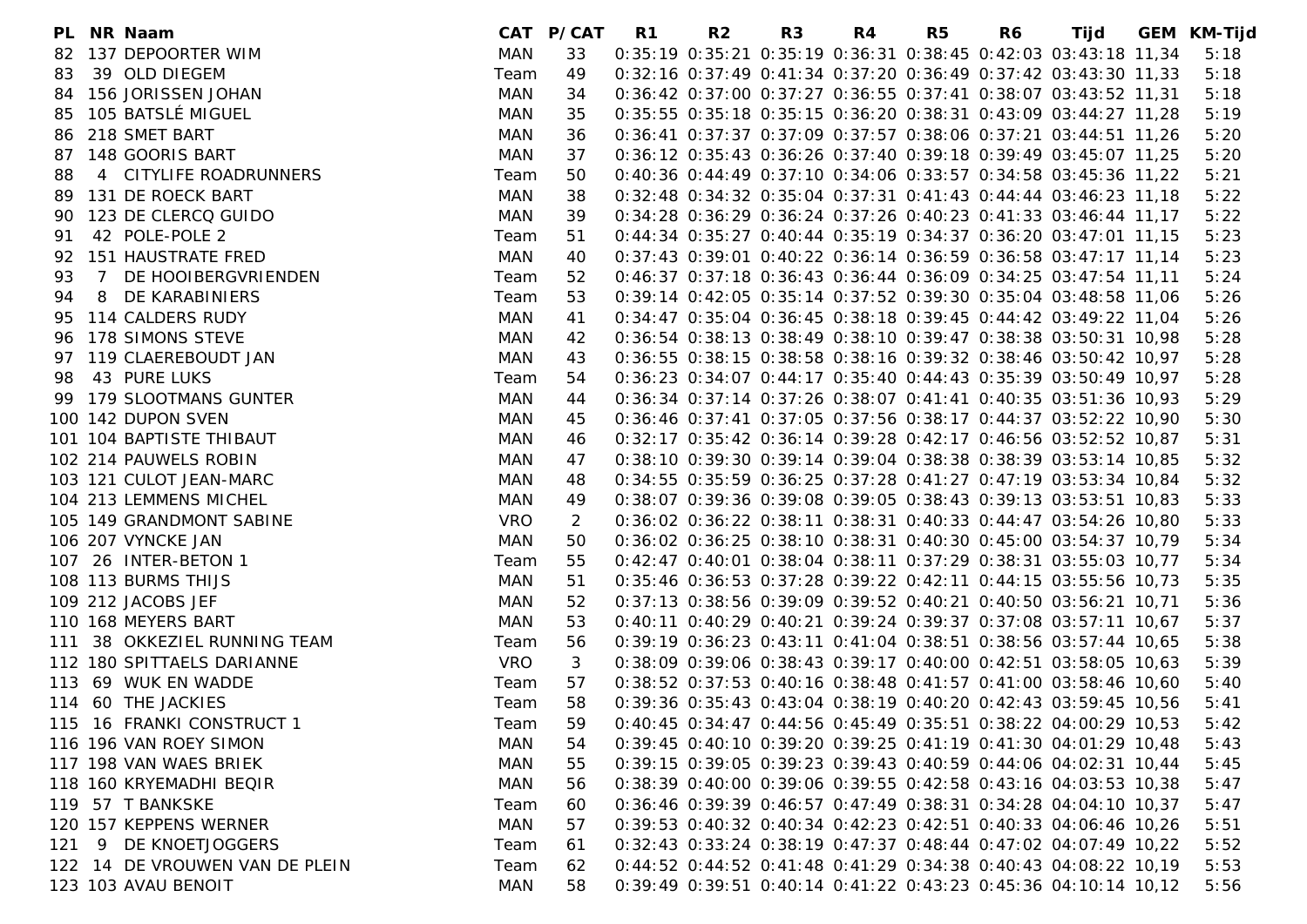| PL |       | NR Naam                        |            | CAT P/CAT | R1 | R <sub>2</sub> | R <sub>3</sub> | R4 | R5 | R6 | Tijd                                                              | GEM KM-Tijd |
|----|-------|--------------------------------|------------|-----------|----|----------------|----------------|----|----|----|-------------------------------------------------------------------|-------------|
| 82 |       | 137 DEPOORTER WIM              | MAN        | 33        |    |                |                |    |    |    | 0:35:19 0:35:21 0:35:19 0:36:31 0:38:45 0:42:03 03:43:18 11,34    | 5:18        |
| 83 |       | 39 OLD DIEGEM                  | Team       | 49        |    |                |                |    |    |    | 0:32:16 0:37:49 0:41:34 0:37:20 0:36:49 0:37:42 03:43:30 11,33    | 5:18        |
|    |       | 84 156 JORISSEN JOHAN          | MAN        | 34        |    |                |                |    |    |    | 0:36:42 0:37:00 0:37:27 0:36:55 0:37:41 0:38:07 03:43:52 11,31    | 5:18        |
| 85 |       | 105 BATSLÉ MIGUEL              | MAN        | 35        |    |                |                |    |    |    | 0:35:55 0:35:18 0:35:15 0:36:20 0:38:31 0:43:09 03:44:27 11,28    | 5:19        |
| 86 |       | 218 SMET BART                  | MAN        | 36        |    |                |                |    |    |    | 0:36:41 0:37:37 0:37:09 0:37:57 0:38:06 0:37:21 03:44:51 11,26    | 5:20        |
|    |       | 87 148 GOORIS BART             | MAN        | 37        |    |                |                |    |    |    | 0:36:12 0:35:43 0:36:26 0:37:40 0:39:18 0:39:49 03:45:07 11,25    | 5:20        |
| 88 |       | 4 CITYLIFE ROADRUNNERS         | Team       | 50        |    |                |                |    |    |    | 0:40:36 0:44:49 0:37:10 0:34:06 0:33:57 0:34:58 03:45:36 11,22    | 5:21        |
| 89 |       | 131 DE ROECK BART              | MAN        | 38        |    |                |                |    |    |    | 0:32:48 0:34:32 0:35:04 0:37:31 0:41:43 0:44:44 03:46:23 11,18    | 5:22        |
| 90 |       | 123 DE CLERCQ GUIDO            | MAN        | 39        |    |                |                |    |    |    | 0:34:28 0:36:29 0:36:24 0:37:26 0:40:23 0:41:33 03:46:44 11,17    | 5:22        |
| 91 |       | 42 POLE-POLE 2                 | Team       | 51        |    |                |                |    |    |    | 0:44:34 0:35:27 0:40:44 0:35:19 0:34:37 0:36:20 03:47:01 11.15    | 5:23        |
|    |       | 92 151 HAUSTRATE FRED          | MAN        | 40        |    |                |                |    |    |    | 0:37:43 0:39:01 0:40:22 0:36:14 0:36:59 0:36:58 03:47:17 11,14    | 5:23        |
| 93 | 7     | DE HOOIBERGVRIENDEN            | Team       | 52        |    |                |                |    |    |    | 0:46:37 0:37:18 0:36:43 0:36:44 0:36:09 0:34:25 03:47:54 11,11    | 5:24        |
| 94 | 8     | DE KARABINIERS                 | Team       | 53        |    |                |                |    |    |    | 0:39:14 0:42:05 0:35:14 0:37:52 0:39:30 0:35:04 03:48:58 11,06    | 5:26        |
| 95 |       | 114 CALDERS RUDY               | MAN        | 41        |    |                |                |    |    |    | 0:34:47 0:35:04 0:36:45 0:38:18 0:39:45 0:44:42 03:49:22 11,04    | 5:26        |
|    |       | 96 178 SIMONS STEVE            | MAN        | 42        |    |                |                |    |    |    | 0:36:54 0:38:13 0:38:49 0:38:10 0:39:47 0:38:38 03:50:31 10,98    | 5:28        |
|    |       | 97 119 CLAEREBOUDT JAN         | MAN        | 43        |    |                |                |    |    |    | 0:36:55 0:38:15 0:38:58 0:38:16 0:39:32 0:38:46 03:50:42 10,97    | 5:28        |
| 98 |       | 43 PURE LUKS                   | Team       | 54        |    |                |                |    |    |    | 0:36:23 0:34:07 0:44:17 0:35:40 0:44:43 0:35:39 03:50:49 10,97    | 5:28        |
|    |       | 99 179 SLOOTMANS GUNTER        | MAN        | 44        |    |                |                |    |    |    | 0:36:34 0:37:14 0:37:26 0:38:07 0:41:41 0:40:35 03:51:36 10,93    | 5:29        |
|    |       | 100 142 DUPON SVEN             | MAN        | 45        |    |                |                |    |    |    | 0:36:46 0:37:41 0:37:05 0:37:56 0:38:17 0:44:37 03:52:22 10,90    | 5:30        |
|    |       | 101 104 BAPTISTE THIBAUT       | MAN        | 46        |    |                |                |    |    |    | 0:32:17 0:35:42 0:36:14 0:39:28 0:42:17 0:46:56 03:52:52 10,87    | 5:31        |
|    |       | 102 214 PAUWELS ROBIN          | MAN        | 47        |    |                |                |    |    |    | 0:38:10 0:39:30 0:39:14 0:39:04 0:38:38 0:38:39 03:53:14 10,85    | 5:32        |
|    |       | 103 121 CULOT JEAN-MARC        | MAN        | 48        |    |                |                |    |    |    | 0:34:55 0:35:59 0:36:25 0:37:28 0:41:27 0:47:19 03:53:34 10,84    | 5:32        |
|    |       | 104 213 LEMMENS MICHEL         | MAN        | 49        |    |                |                |    |    |    | 0:38:07 0:39:36 0:39:08 0:39:05 0:38:43 0:39:13 03:53:51 10,83    | 5:33        |
|    |       | 105 149 GRANDMONT SABINE       | <b>VRO</b> | 2         |    |                |                |    |    |    | 0:36:02 0:36:22 0:38:11 0:38:31 0:40:33 0:44:47 03:54:26 10,80    | 5:33        |
|    |       | 106 207 VYNCKE JAN             | <b>MAN</b> | 50        |    |                |                |    |    |    | 0:36:02 0:36:25 0:38:10 0:38:31 0:40:30 0:45:00 03:54:37 10,79    | 5:34        |
|    |       | 107 26 INTER-BETON 1           | Team       | 55        |    |                |                |    |    |    | 0:42:47 0:40:01 0:38:04 0:38:11 0:37:29 0:38:31 03:55:03 10,77    | 5:34        |
|    |       | 108 113 BURMS THIJS            | MAN        | 51        |    |                |                |    |    |    | 0:35:46 0:36:53 0:37:28 0:39:22 0:42:11 0:44:15 03:55:56 10,73    | 5:35        |
|    |       | 109 212 JACOBS JEF             | MAN        | 52        |    |                |                |    |    |    | 0:37:13 0:38:56 0:39:09 0:39:52 0:40:21 0:40:50 03:56:21 10,71    | 5:36        |
|    |       | 110 168 MEYERS BART            | MAN        | 53        |    |                |                |    |    |    | 0:40:11 0:40:29 0:40:21 0:39:24 0:39:37 0:37:08 03:57:11 10,67    | 5:37        |
|    |       | 111 38 OKKEZIEL RUNNING TEAM   | Team       | 56        |    |                |                |    |    |    | 0:39:19 0:36:23 0:43:11 0:41:04 0:38:51 0:38:56 03:57:44 10,65    | 5:38        |
|    |       | 112 180 SPITTAELS DARIANNE     | <b>VRO</b> | 3         |    |                |                |    |    |    | 0:38:09 0:39:06 0:38:43 0:39:17 0:40:00 0:42:51 03:58:05 10,63    | 5:39        |
|    |       | 113 69 WUK EN WADDE            | Team       | 57        |    |                |                |    |    |    | 0:38:52 0:37:53 0:40:16 0:38:48 0:41:57 0:41:00 03:58:46 10,60    | 5:40        |
|    |       | 114 60 THE JACKIES             | Team       | 58        |    |                |                |    |    |    | 0:39:36 0:35:43 0:43:04 0:38:19 0:40:20 0:42:43 03:59:45 10,56    | 5:41        |
|    |       | 115 16 FRANKI CONSTRUCT 1      | Team       |           |    |                |                |    |    |    | 59 0:40:45 0:34:47 0:44:56 0:45:49 0:35:51 0:38:22 04:00:29 10,53 | 5:42        |
|    |       | 116 196 VAN ROEY SIMON         | MAN        | 54        |    |                |                |    |    |    | 0:39:45 0:40:10 0:39:20 0:39:25 0:41:19 0:41:30 04:01:29 10,48    | 5:43        |
|    |       | 117 198 VAN WAES BRIEK         | MAN        | 55        |    |                |                |    |    |    | 0:39:15 0:39:05 0:39:23 0:39:43 0:40:59 0:44:06 04:02:31 10,44    | 5:45        |
|    |       | 118 160 KRYEMADHI BEQIR        | MAN        | 56        |    |                |                |    |    |    | 0:38:39 0:40:00 0:39:06 0:39:55 0:42:58 0:43:16 04:03:53 10,38    | 5:47        |
|    |       | 119 57 T BANKSKE               | Team       | 60        |    |                |                |    |    |    | 0:36:46 0:39:39 0:46:57 0:47:49 0:38:31 0:34:28 04:04:10 10,37    | 5:47        |
|    |       | 120 157 KEPPENS WERNER         | MAN        | 57        |    |                |                |    |    |    | 0:39:53 0:40:32 0:40:34 0:42:23 0:42:51 0:40:33 04:06:46 10,26    | 5:51        |
|    | 121 9 | DE KNOETJOGGERS                | Team       | 61        |    |                |                |    |    |    | 0:32:43 0:33:24 0:38:19 0:47:37 0:48:44 0:47:02 04:07:49 10,22    | 5:52        |
|    |       | 122 14 DE VROUWEN VAN DE PLEIN | Team       | 62        |    |                |                |    |    |    | 0:44:52 0:44:52 0:41:48 0:41:29 0:34:38 0:40:43 04:08:22 10,19    | 5:53        |
|    |       | 123 103 AVAU BENOIT            | MAN        | 58        |    |                |                |    |    |    | 0:39:49 0:39:51 0:40:14 0:41:22 0:43:23 0:45:36 04:10:14 10,12    | 5:56        |